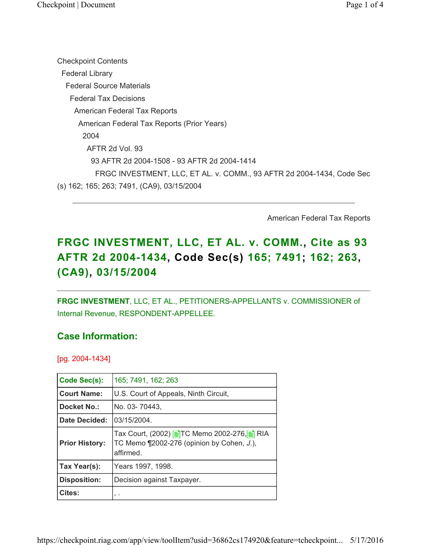Checkpoint Contents Federal Library Federal Source Materials Federal Tax Decisions American Federal Tax Reports American Federal Tax Reports (Prior Years) 2004 AFTR 2d Vol. 93 93 AFTR 2d 2004-1508 - 93 AFTR 2d 2004-1414 FRGC INVESTMENT, LLC, ET AL. v. COMM., 93 AFTR 2d 2004-1434, Code Sec (s) 162; 165; 263; 7491, (CA9), 03/15/2004

American Federal Tax Reports

# FRGC INVESTMENT, LLC, ET AL. v. COMM., Cite as 93 AFTR 2d 2004-1434, Code Sec(s) 165; 7491; 162; 263, (CA9), 03/15/2004

FRGC INVESTMENT, LLC, ET AL., PETITIONERS-APPELLANTS v. COMMISSIONER of Internal Revenue, RESPONDENT-APPELLEE.

### Case Information:

[pg. 2004-1434]

| Code Sec(s):          | 165; 7491, 162; 263                                                                                  |
|-----------------------|------------------------------------------------------------------------------------------------------|
| <b>Court Name:</b>    | U.S. Court of Appeals, Ninth Circuit,                                                                |
| Docket No.:           | No. 03-70443,                                                                                        |
| Date Decided:         | 03/15/2004.                                                                                          |
| <b>Prior History:</b> | Tax Court, (2002) ETC Memo 2002-276, E RIA<br>TC Memo ¶2002-276 (opinion by Cohen, J.),<br>affirmed. |
| Tax Year(s):          | Years 1997, 1998.                                                                                    |
| <b>Disposition:</b>   | Decision against Taxpayer.                                                                           |
| <b>Cites:</b>         | $, \cdot$                                                                                            |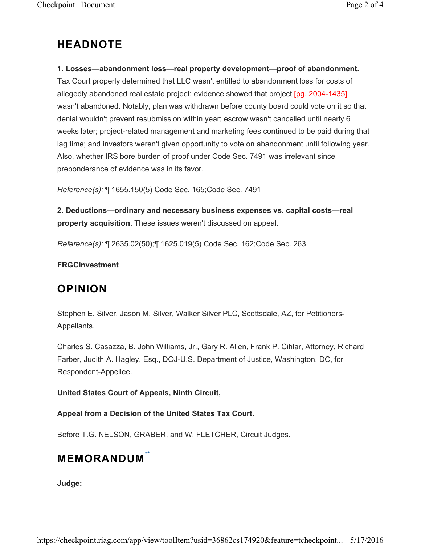# HEADNOTE

### 1. Losses—abandonment loss—real property development—proof of abandonment.

Tax Court properly determined that LLC wasn't entitled to abandonment loss for costs of allegedly abandoned real estate project: evidence showed that project [pg. 2004-1435] wasn't abandoned. Notably, plan was withdrawn before county board could vote on it so that denial wouldn't prevent resubmission within year; escrow wasn't cancelled until nearly 6 weeks later; project-related management and marketing fees continued to be paid during that lag time; and investors weren't given opportunity to vote on abandonment until following year. Also, whether IRS bore burden of proof under Code Sec. 7491 was irrelevant since preponderance of evidence was in its favor.

Reference(s): ¶ 1655.150(5) Code Sec. 165;Code Sec. 7491

2. Deductions—ordinary and necessary business expenses vs. capital costs—real property acquisition. These issues weren't discussed on appeal.

Reference(s): ¶ 2635.02(50);¶ 1625.019(5) Code Sec. 162;Code Sec. 263

### FRGCInvestment

### **OPINION**

Stephen E. Silver, Jason M. Silver, Walker Silver PLC, Scottsdale, AZ, for Petitioners-Appellants.

Charles S. Casazza, B. John Williams, Jr., Gary R. Allen, Frank P. Cihlar, Attorney, Richard Farber, Judith A. Hagley, Esq., DOJ-U.S. Department of Justice, Washington, DC, for Respondent-Appellee.

### United States Court of Appeals, Ninth Circuit,

### Appeal from a Decision of the United States Tax Court.

Before T.G. NELSON, GRABER, and W. FLETCHER, Circuit Judges.

# **MEMORANDUM<sup>\*\*</sup>**

Judge: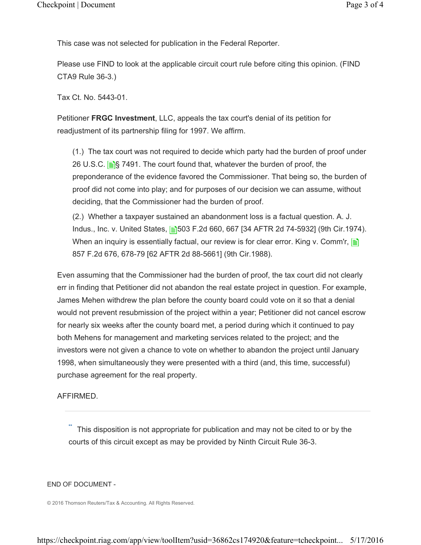This case was not selected for publication in the Federal Reporter.

Please use FIND to look at the applicable circuit court rule before citing this opinion. (FIND CTA9 Rule 36-3.)

Tax Ct. No. 5443-01.

Petitioner FRGC Investment, LLC, appeals the tax court's denial of its petition for readjustment of its partnership filing for 1997. We affirm.

(1.) The tax court was not required to decide which party had the burden of proof under 26 U.S.C.  $\mathbf{S}$  7491. The court found that, whatever the burden of proof, the preponderance of the evidence favored the Commissioner. That being so, the burden of proof did not come into play; and for purposes of our decision we can assume, without deciding, that the Commissioner had the burden of proof.

(2.) Whether a taxpayer sustained an abandonment loss is a factual question. A. J. Indus., Inc. v. United States, **§603 F.2d 660, 667 [34 AFTR 2d 74-5932]** (9th Cir.1974). When an inquiry is essentially factual, our review is for clear error. King v. Comm'r,  $\equiv$ 857 F.2d 676, 678-79 [62 AFTR 2d 88-5661] (9th Cir.1988).

Even assuming that the Commissioner had the burden of proof, the tax court did not clearly err in finding that Petitioner did not abandon the real estate project in question. For example, James Mehen withdrew the plan before the county board could vote on it so that a denial would not prevent resubmission of the project within a year; Petitioner did not cancel escrow for nearly six weeks after the county board met, a period during which it continued to pay both Mehens for management and marketing services related to the project; and the investors were not given a chance to vote on whether to abandon the project until January 1998, when simultaneously they were presented with a third (and, this time, successful) purchase agreement for the real property.

#### AFFIRMED.

 This disposition is not appropriate for publication and may not be cited to or by the courts of this circuit except as may be provided by Ninth Circuit Rule 36-3. \*\*

#### END OF DOCUMENT -

© 2016 Thomson Reuters/Tax & Accounting. All Rights Reserved.